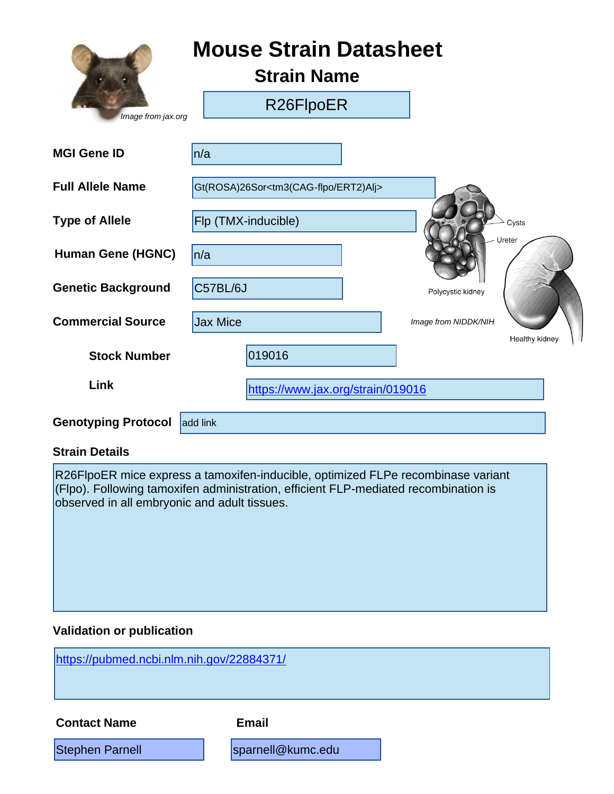|                            | <b>Mouse Strain Datasheet</b><br><b>Strain Name</b>     |                      |                |
|----------------------------|---------------------------------------------------------|----------------------|----------------|
| Image from jax.org         | R26FlpoER                                               |                      |                |
| <b>MGI Gene ID</b>         | n/a                                                     |                      |                |
| <b>Full Allele Name</b>    | Gt(ROSA)26Sor <tm3(cag-flpo ert2)alj=""></tm3(cag-flpo> |                      |                |
| <b>Type of Allele</b>      | Flp (TMX-inducible)                                     |                      | Cysts          |
| <b>Human Gene (HGNC)</b>   | ln/a                                                    |                      | Ureter         |
| <b>Genetic Background</b>  | C57BL/6J                                                | Polycystic kidney    |                |
| <b>Commercial Source</b>   | <b>Jax Mice</b>                                         | Image from NIDDK/NIH |                |
| <b>Stock Number</b>        | 019016                                                  |                      | Healthy kidney |
| Link                       | https://www.jax.org/strain/019016                       |                      |                |
| <b>Genotyping Protocol</b> | add link                                                |                      |                |

#### **Strain Details**

R26FlpoER mice express a tamoxifen-inducible, optimized FLPe recombinase variant (Flpo). Following tamoxifen administration, efficient FLP-mediated recombination is observed in all embryonic and adult tissues.

### **Validation or publication**

<https://pubmed.ncbi.nlm.nih.gov/22884371/>

**Contact Name Email**

Stephen Parnell **Stephen Parnell** [sparnell@kumc.edu](mailto:sparnell@kumc.edu)